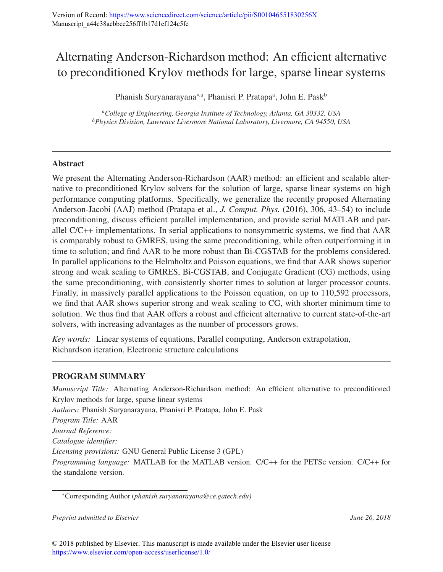# Alternating Anderson-Richardson method: An efficient alternative to preconditioned Krylov methods for large, sparse linear systems

Phanish Suryanarayana<sup>∗,a</sup>, Phanisri P. Pratapa<sup>a</sup>, John E. Pask<sup>b</sup>

*<sup>a</sup>College of Engineering, Georgia Institute of Technology, Atlanta, GA 30332, USA <sup>b</sup>Physics Division, Lawrence Livermore National Laboratory, Livermore, CA 94550, USA*

## Abstract

We present the Alternating Anderson-Richardson (AAR) method: an efficient and scalable alternative to preconditioned Krylov solvers for the solution of large, sparse linear systems on high performance computing platforms. Specifically, we generalize the recently proposed Alternating Anderson-Jacobi (AAJ) method (Pratapa et al., *J. Comput. Phys.* (2016), 306, 43–54) to include preconditioning, discuss efficient parallel implementation, and provide serial MATLAB and parallel C/C++ implementations. In serial applications to nonsymmetric systems, we find that AAR is comparably robust to GMRES, using the same preconditioning, while often outperforming it in time to solution; and find AAR to be more robust than Bi-CGSTAB for the problems considered. In parallel applications to the Helmholtz and Poisson equations, we find that AAR shows superior strong and weak scaling to GMRES, Bi-CGSTAB, and Conjugate Gradient (CG) methods, using the same preconditioning, with consistently shorter times to solution at larger processor counts. Finally, in massively parallel applications to the Poisson equation, on up to 110,592 processors, we find that AAR shows superior strong and weak scaling to CG, with shorter minimum time to solution. We thus find that AAR offers a robust and efficient alternative to current state-of-the-art solvers, with increasing advantages as the number of processors grows.

*Key words:* Linear systems of equations, Parallel computing, Anderson extrapolation, Richardson iteration, Electronic structure calculations

# PROGRAM SUMMARY

*Manuscript Title:* Alternating Anderson-Richardson method: An efficient alternative to preconditioned Krylov methods for large, sparse linear systems *Authors:* Phanish Suryanarayana, Phanisri P. Pratapa, John E. Pask *Program Title:* AAR *Journal Reference: Catalogue identifier: Licensing provisions:* GNU General Public License 3 (GPL) *Programming language:* MATLAB for the MATLAB version. C/C++ for the PETSc version. C/C++ for the standalone version.

*Preprint submitted to Elsevier June 26, 2018*

<sup>∗</sup>Corresponding Author (*phanish.suryanarayana@ce.gatech.edu)*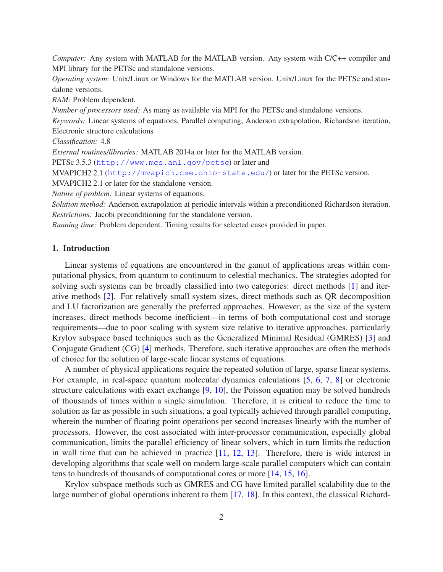*Computer:* Any system with MATLAB for the MATLAB version. Any system with C/C++ compiler and MPI library for the PETSc and standalone versions.

*Operating system:* Unix/Linux or Windows for the MATLAB version. Unix/Linux for the PETSc and standalone versions.

*RAM:* Problem dependent.

*Number of processors used:* As many as available via MPI for the PETSc and standalone versions.

*Keywords:* Linear systems of equations, Parallel computing, Anderson extrapolation, Richardson iteration, Electronic structure calculations

*Classification:* 4.8

*External routines/libraries:* MATLAB 2014a or later for the MATLAB version.

PETSc 3.5.3 (http://www.mcs.anl.gov/petsc) or later and

MVAPICH2 2.1 (http://mvapich.cse.ohio-state.edu/) or later for the PETSc version.

MVAPICH2 2.1 or later for the standalone version.

*Nature of problem:* Linear systems of equations.

*Solution method:* Anderson extrapolation at periodic intervals within a preconditioned Richardson iteration. *Restrictions:* Jacobi preconditioning for the standalone version.

*Running time:* Problem dependent. Timing results for selected cases provided in paper.

## 1. Introduction

Linear systems of equations are encountered in the gamut of applications areas within computational physics, from quantum to continuum to celestial mechanics. The strategies adopted for solving such systems can be broadly classified into two categories: direct methods [1] and iterative methods [2]. For relatively small system sizes, direct methods such as QR decomposition and LU factorization are generally the preferred approaches. However, as the size of the system increases, direct methods become inefficient—in terms of both computational cost and storage requirements—due to poor scaling with system size relative to iterative approaches, particularly Krylov subspace based techniques such as the Generalized Minimal Residual (GMRES) [3] and Conjugate Gradient (CG) [4] methods. Therefore, such iterative approaches are often the methods of choice for the solution of large-scale linear systems of equations.

A number of physical applications require the repeated solution of large, sparse linear systems. For example, in real-space quantum molecular dynamics calculations [5, 6, 7, 8] or electronic structure calculations with exact exchange [9, 10], the Poisson equation may be solved hundreds of thousands of times within a single simulation. Therefore, it is critical to reduce the time to solution as far as possible in such situations, a goal typically achieved through parallel computing, wherein the number of floating point operations per second increases linearly with the number of processors. However, the cost associated with inter-processor communication, especially global communication, limits the parallel efficiency of linear solvers, which in turn limits the reduction in wall time that can be achieved in practice [11, 12, 13]. Therefore, there is wide interest in developing algorithms that scale well on modern large-scale parallel computers which can contain tens to hundreds of thousands of computational cores or more [14, 15, 16].

Krylov subspace methods such as GMRES and CG have limited parallel scalability due to the large number of global operations inherent to them [17, 18]. In this context, the classical Richard-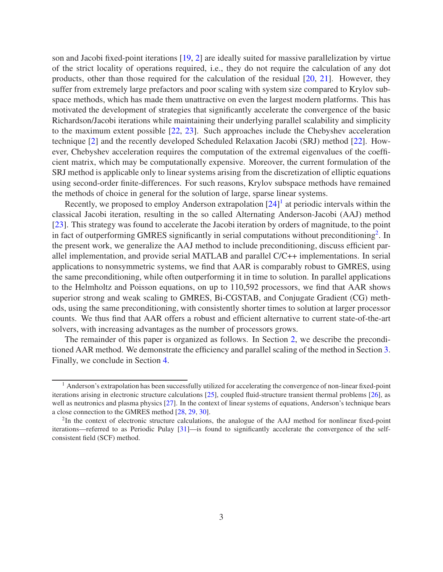son and Jacobi fixed-point iterations [19, 2] are ideally suited for massive parallelization by virtue of the strict locality of operations required, i.e., they do not require the calculation of any dot products, other than those required for the calculation of the residual [20, 21]. However, they suffer from extremely large prefactors and poor scaling with system size compared to Krylov subspace methods, which has made them unattractive on even the largest modern platforms. This has motivated the development of strategies that significantly accelerate the convergence of the basic Richardson/Jacobi iterations while maintaining their underlying parallel scalability and simplicity to the maximum extent possible [22, 23]. Such approaches include the Chebyshev acceleration technique [2] and the recently developed Scheduled Relaxation Jacobi (SRJ) method [22]. However, Chebyshev acceleration requires the computation of the extremal eigenvalues of the coefficient matrix, which may be computationally expensive. Moreover, the current formulation of the SRJ method is applicable only to linear systems arising from the discretization of elliptic equations using second-order finite-differences. For such reasons, Krylov subspace methods have remained the methods of choice in general for the solution of large, sparse linear systems.

Recently, we proposed to employ Anderson extrapolation  $[24]$ <sup>1</sup> at periodic intervals within the classical Jacobi iteration, resulting in the so called Alternating Anderson-Jacobi (AAJ) method [23]. This strategy was found to accelerate the Jacobi iteration by orders of magnitude, to the point in fact of outperforming GMRES significantly in serial computations without preconditioning<sup>2</sup>. In the present work, we generalize the AAJ method to include preconditioning, discuss efficient parallel implementation, and provide serial MATLAB and parallel C/C++ implementations. In serial applications to nonsymmetric systems, we find that AAR is comparably robust to GMRES, using the same preconditioning, while often outperforming it in time to solution. In parallel applications to the Helmholtz and Poisson equations, on up to 110,592 processors, we find that AAR shows superior strong and weak scaling to GMRES, Bi-CGSTAB, and Conjugate Gradient (CG) methods, using the same preconditioning, with consistently shorter times to solution at larger processor counts. We thus find that AAR offers a robust and efficient alternative to current state-of-the-art solvers, with increasing advantages as the number of processors grows.

The remainder of this paper is organized as follows. In Section 2, we describe the preconditioned AAR method. We demonstrate the efficiency and parallel scaling of the method in Section 3. Finally, we conclude in Section 4.

 $<sup>1</sup>$  Anderson's extrapolation has been successfully utilized for accelerating the convergence of non-linear fixed-point</sup> iterations arising in electronic structure calculations [25], coupled fluid-structure transient thermal problems [26], as well as neutronics and plasma physics [27]. In the context of linear systems of equations, Anderson's technique bears a close connection to the GMRES method [28, 29, 30].

 $2$ In the context of electronic structure calculations, the analogue of the AAJ method for nonlinear fixed-point iterations—referred to as Periodic Pulay [31]—is found to significantly accelerate the convergence of the selfconsistent field (SCF) method.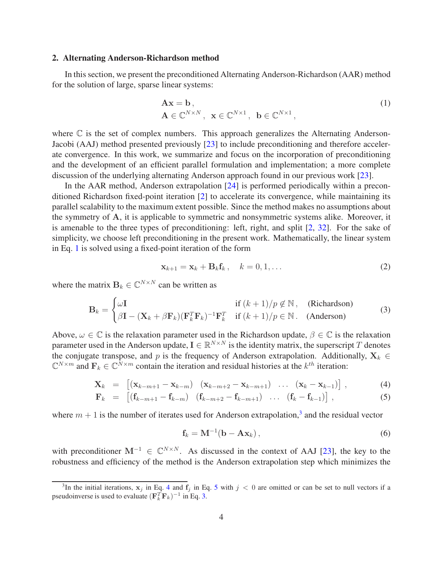## 2. Alternating Anderson-Richardson method

In this section, we present the preconditioned Alternating Anderson-Richardson (AAR) method for the solution of large, sparse linear systems:

$$
\mathbf{A}\mathbf{x} = \mathbf{b},
$$
  
\n
$$
\mathbf{A} \in \mathbb{C}^{N \times N}, \ \mathbf{x} \in \mathbb{C}^{N \times 1}, \ \mathbf{b} \in \mathbb{C}^{N \times 1},
$$
\n(1)

where  $\mathbb C$  is the set of complex numbers. This approach generalizes the Alternating Anderson-Jacobi (AAJ) method presented previously [23] to include preconditioning and therefore accelerate convergence. In this work, we summarize and focus on the incorporation of preconditioning and the development of an efficient parallel formulation and implementation; a more complete discussion of the underlying alternating Anderson approach found in our previous work [23].

In the AAR method, Anderson extrapolation [24] is performed periodically within a preconditioned Richardson fixed-point iteration [2] to accelerate its convergence, while maintaining its parallel scalability to the maximum extent possible. Since the method makes no assumptions about the symmetry of A, it is applicable to symmetric and nonsymmetric systems alike. Moreover, it is amenable to the three types of preconditioning: left, right, and split [2, 32]. For the sake of simplicity, we choose left preconditioning in the present work. Mathematically, the linear system in Eq. 1 is solved using a fixed-point iteration of the form

$$
\mathbf{x}_{k+1} = \mathbf{x}_k + \mathbf{B}_k \mathbf{f}_k, \quad k = 0, 1, \dots
$$
 (2)

where the matrix  $\mathbf{B}_k \in \mathbb{C}^{N \times N}$  can be written as

$$
\mathbf{B}_{k} = \begin{cases} \omega \mathbf{I} & \text{if } (k+1)/p \notin \mathbb{N}, \quad \text{(Richardson)}\\ \beta \mathbf{I} - (\mathbf{X}_{k} + \beta \mathbf{F}_{k})(\mathbf{F}_{k}^{T} \mathbf{F}_{k})^{-1} \mathbf{F}_{k}^{T} & \text{if } (k+1)/p \in \mathbb{N}. \quad \text{(Anderson)} \end{cases}
$$
(3)

Above,  $\omega \in \mathbb{C}$  is the relaxation parameter used in the Richardson update,  $\beta \in \mathbb{C}$  is the relaxation parameter used in the Anderson update,  $I \in \mathbb{R}^{N \times N}$  is the identity matrix, the superscript T denotes the conjugate transpose, and p is the frequency of Anderson extrapolation. Additionally,  $X_k \in$  $\mathbb{C}^{N \times m}$  and  $\mathbf{F}_k \in \mathbb{C}^{N \times m}$  contain the iteration and residual histories at the  $k^{th}$  iteration:

$$
\mathbf{X}_{k} = [(\mathbf{x}_{k-m+1} - \mathbf{x}_{k-m}) \quad (\mathbf{x}_{k-m+2} - \mathbf{x}_{k-m+1}) \quad \dots \quad (\mathbf{x}_{k} - \mathbf{x}_{k-1})], \tag{4}
$$

$$
\mathbf{F}_k = [(\mathbf{f}_{k-m+1} - \mathbf{f}_{k-m}) \quad (\mathbf{f}_{k-m+2} - \mathbf{f}_{k-m+1}) \quad \dots \quad (\mathbf{f}_k - \mathbf{f}_{k-1})], \tag{5}
$$

where  $m + 1$  is the number of iterates used for Anderson extrapolation,<sup>3</sup> and the residual vector

$$
\mathbf{f}_k = \mathbf{M}^{-1}(\mathbf{b} - \mathbf{A}\mathbf{x}_k), \qquad (6)
$$

with preconditioner  $M^{-1} \in \mathbb{C}^{N \times N}$ . As discussed in the context of AAJ [23], the key to the robustness and efficiency of the method is the Anderson extrapolation step which minimizes the

<sup>&</sup>lt;sup>3</sup>In the initial iterations,  $x_j$  in Eq. 4 and  $f_j$  in Eq. 5 with  $j < 0$  are omitted or can be set to null vectors if a pseudoinverse is used to evaluate  $(\mathbf{F}_k^T \mathbf{F}_k)^{-1}$  in Eq. 3.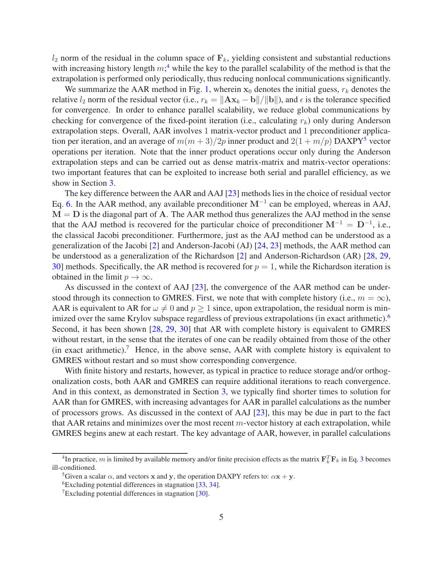$l_2$  norm of the residual in the column space of  $\mathbf{F}_k$ , yielding consistent and substantial reductions with increasing history length  $m<sup>4</sup>$ , while the key to the parallel scalability of the method is that the extrapolation is performed only periodically, thus reducing nonlocal communications significantly.

We summarize the AAR method in Fig. 1, wherein  $x_0$  denotes the initial guess,  $r_k$  denotes the relative  $l_2$  norm of the residual vector (i.e.,  $r_k = ||A\mathbf{x}_k - \mathbf{b}||/||\mathbf{b}||$ ), and  $\epsilon$  is the tolerance specified for convergence. In order to enhance parallel scalability, we reduce global communications by checking for convergence of the fixed-point iteration (i.e., calculating  $r_k$ ) only during Anderson extrapolation steps. Overall, AAR involves 1 matrix-vector product and 1 preconditioner application per iteration, and an average of  $m(m+3)/2p$  inner product and  $2(1 + m/p)$  DAXPY<sup>5</sup> vector operations per iteration. Note that the inner product operations occur only during the Anderson extrapolation steps and can be carried out as dense matrix-matrix and matrix-vector operations: two important features that can be exploited to increase both serial and parallel efficiency, as we show in Section 3.

The key difference between the AAR and AAJ [23] methods lies in the choice of residual vector Eq. 6. In the AAR method, any available preconditioner  $M^{-1}$  can be employed, whereas in AAJ,  $M = D$  is the diagonal part of A. The AAR method thus generalizes the AAJ method in the sense that the AAJ method is recovered for the particular choice of preconditioner  $M^{-1} = D^{-1}$ , i.e., the classical Jacobi preconditioner. Furthermore, just as the AAJ method can be understood as a generalization of the Jacobi [2] and Anderson-Jacobi (AJ) [24, 23] methods, the AAR method can be understood as a generalization of the Richardson [2] and Anderson-Richardson (AR) [28, 29, 30] methods. Specifically, the AR method is recovered for  $p = 1$ , while the Richardson iteration is obtained in the limit  $p \to \infty$ .

As discussed in the context of AAJ [23], the convergence of the AAR method can be understood through its connection to GMRES. First, we note that with complete history (i.e.,  $m = \infty$ ), AAR is equivalent to AR for  $\omega \neq 0$  and  $p \geq 1$  since, upon extrapolation, the residual norm is minimized over the same Krylov subspace regardless of previous extrapolations (in exact arithmetic).<sup>6</sup> Second, it has been shown [28, 29, 30] that AR with complete history is equivalent to GMRES without restart, in the sense that the iterates of one can be readily obtained from those of the other (in exact arithmetic).<sup>7</sup> Hence, in the above sense, AAR with complete history is equivalent to GMRES without restart and so must show corresponding convergence.

With finite history and restarts, however, as typical in practice to reduce storage and/or orthogonalization costs, both AAR and GMRES can require additional iterations to reach convergence. And in this context, as demonstrated in Section 3, we typically find shorter times to solution for AAR than for GMRES, with increasing advantages for AAR in parallel calculations as the number of processors grows. As discussed in the context of AAJ [23], this may be due in part to the fact that AAR retains and minimizes over the most recent  $m$ -vector history at each extrapolation, while GMRES begins anew at each restart. The key advantage of AAR, however, in parallel calculations

<sup>&</sup>lt;sup>4</sup>In practice, m is limited by available memory and/or finite precision effects as the matrix  $F_k^T F_k$  in Eq. 3 becomes ill-conditioned.

<sup>&</sup>lt;sup>5</sup>Given a scalar  $\alpha$ , and vectors x and y, the operation DAXPY refers to:  $\alpha$ x + y.

<sup>6</sup>Excluding potential differences in stagnation [33, 34].

 $T$ Excluding potential differences in stagnation [30].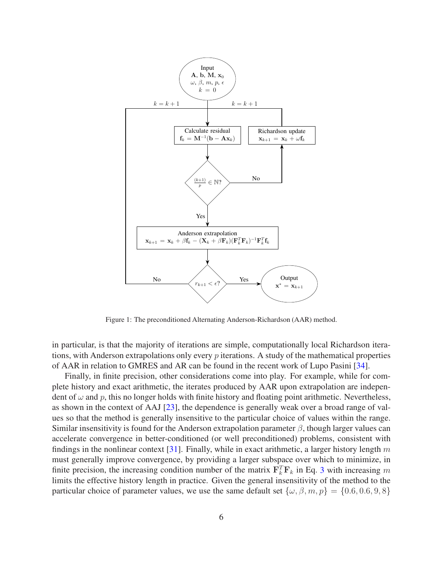

Figure 1: The preconditioned Alternating Anderson-Richardson (AAR) method.

in particular, is that the majority of iterations are simple, computationally local Richardson iterations, with Anderson extrapolations only every p iterations. A study of the mathematical properties of AAR in relation to GMRES and AR can be found in the recent work of Lupo Pasini [34].

Finally, in finite precision, other considerations come into play. For example, while for complete history and exact arithmetic, the iterates produced by AAR upon extrapolation are independent of  $\omega$  and p, this no longer holds with finite history and floating point arithmetic. Nevertheless, as shown in the context of AAJ [23], the dependence is generally weak over a broad range of values so that the method is generally insensitive to the particular choice of values within the range. Similar insensitivity is found for the Anderson extrapolation parameter  $\beta$ , though larger values can accelerate convergence in better-conditioned (or well preconditioned) problems, consistent with findings in the nonlinear context [31]. Finally, while in exact arithmetic, a larger history length m must generally improve convergence, by providing a larger subspace over which to minimize, in finite precision, the increasing condition number of the matrix  $\mathbf{F}_k^T \mathbf{F}_k$  in Eq. 3 with increasing m limits the effective history length in practice. Given the general insensitivity of the method to the particular choice of parameter values, we use the same default set  $\{\omega, \beta, m, p\} = \{0.6, 0.6, 9, 8\}$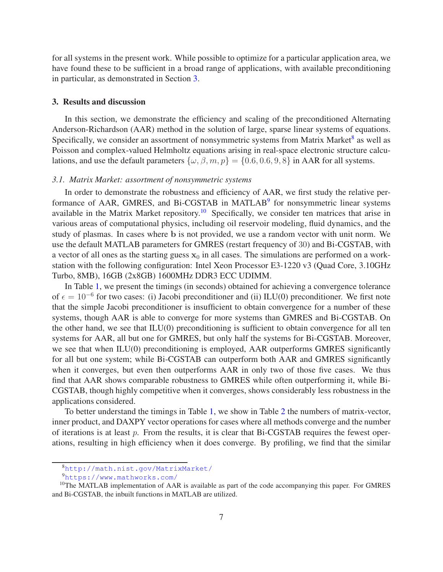for all systems in the present work. While possible to optimize for a particular application area, we have found these to be sufficient in a broad range of applications, with available preconditioning in particular, as demonstrated in Section 3.

## 3. Results and discussion

In this section, we demonstrate the efficiency and scaling of the preconditioned Alternating Anderson-Richardson (AAR) method in the solution of large, sparse linear systems of equations. Specifically, we consider an assortment of nonsymmetric systems from Matrix Market<sup>8</sup> as well as Poisson and complex-valued Helmholtz equations arising in real-space electronic structure calculations, and use the default parameters  $\{\omega, \beta, m, p\} = \{0.6, 0.6, 9, 8\}$  in AAR for all systems.

## *3.1. Matrix Market: assortment of nonsymmetric systems*

In order to demonstrate the robustness and efficiency of AAR, we first study the relative performance of AAR, GMRES, and Bi-CGSTAB in MATLAB<sup>9</sup> for nonsymmetric linear systems available in the Matrix Market repository.<sup>10</sup> Specifically, we consider ten matrices that arise in various areas of computational physics, including oil reservoir modeling, fluid dynamics, and the study of plasmas. In cases where b is not provided, we use a random vector with unit norm. We use the default MATLAB parameters for GMRES (restart frequency of 30) and Bi-CGSTAB, with a vector of all ones as the starting guess  $x_0$  in all cases. The simulations are performed on a workstation with the following configuration: Intel Xeon Processor E3-1220 v3 (Quad Core, 3.10GHz Turbo, 8MB), 16GB (2x8GB) 1600MHz DDR3 ECC UDIMM.

In Table 1, we present the timings (in seconds) obtained for achieving a convergence tolerance of  $\epsilon = 10^{-6}$  for two cases: (i) Jacobi preconditioner and (ii) ILU(0) preconditioner. We first note that the simple Jacobi preconditioner is insufficient to obtain convergence for a number of these systems, though AAR is able to converge for more systems than GMRES and Bi-CGSTAB. On the other hand, we see that ILU(0) preconditioning is sufficient to obtain convergence for all ten systems for AAR, all but one for GMRES, but only half the systems for Bi-CGSTAB. Moreover, we see that when ILU(0) preconditioning is employed, AAR outperforms GMRES significantly for all but one system; while Bi-CGSTAB can outperform both AAR and GMRES significantly when it converges, but even then outperforms AAR in only two of those five cases. We thus find that AAR shows comparable robustness to GMRES while often outperforming it, while Bi-CGSTAB, though highly competitive when it converges, shows considerably less robustness in the applications considered.

To better understand the timings in Table 1, we show in Table 2 the numbers of matrix-vector, inner product, and DAXPY vector operations for cases where all methods converge and the number of iterations is at least  $p$ . From the results, it is clear that Bi-CGSTAB requires the fewest operations, resulting in high efficiency when it does converge. By profiling, we find that the similar

<sup>8</sup>http://math.nist.gov/MatrixMarket/

<sup>9</sup>https://www.mathworks.com/

<sup>&</sup>lt;sup>10</sup>The MATLAB implementation of AAR is available as part of the code accompanying this paper. For GMRES and Bi-CGSTAB, the inbuilt functions in MATLAB are utilized.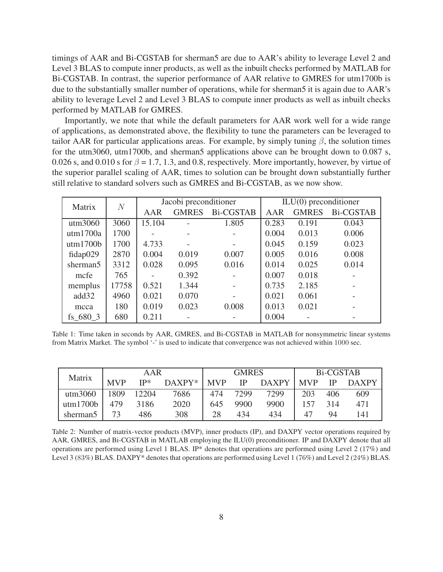timings of AAR and Bi-CGSTAB for sherman5 are due to AAR's ability to leverage Level 2 and Level 3 BLAS to compute inner products, as well as the inbuilt checks performed by MATLAB for Bi-CGSTAB. In contrast, the superior performance of AAR relative to GMRES for utm1700b is due to the substantially smaller number of operations, while for sherman5 it is again due to AAR's ability to leverage Level 2 and Level 3 BLAS to compute inner products as well as inbuilt checks performed by MATLAB for GMRES.

Importantly, we note that while the default parameters for AAR work well for a wide range of applications, as demonstrated above, the flexibility to tune the parameters can be leveraged to tailor AAR for particular applications areas. For example, by simply tuning  $\beta$ , the solution times for the utm3060, utm1700b, and sherman5 applications above can be brought down to 0.087 s, 0.026 s, and 0.010 s for  $\beta = 1.7, 1.3$ , and 0.8, respectively. More importantly, however, by virtue of the superior parallel scaling of AAR, times to solution can be brought down substantially further still relative to standard solvers such as GMRES and Bi-CGSTAB, as we now show.

| Matrix               | $\overline{N}$ |        | Jacobi preconditioner |                          | $ILU(0)$ preconditioner |              |                  |  |
|----------------------|----------------|--------|-----------------------|--------------------------|-------------------------|--------------|------------------|--|
|                      |                | AAR    | <b>GMRES</b>          | <b>Bi-CGSTAB</b>         | AAR                     | <b>GMRES</b> | <b>Bi-CGSTAB</b> |  |
| utm3060              | 3060           | 15.104 |                       | 1.805                    | 0.283                   | 0.191        | 0.043            |  |
| utm1700a             | 1700           |        |                       |                          | 0.004                   | 0.013        | 0.006            |  |
| utm1700b             | 1700           | 4.733  |                       | $\overline{\phantom{0}}$ | 0.045                   | 0.159        | 0.023            |  |
| fidap029             | 2870           | 0.004  | 0.019                 | 0.007                    | 0.005                   | 0.016        | 0.008            |  |
| sherman <sub>5</sub> | 3312           | 0.028  | 0.095                 | 0.016                    | 0.014                   | 0.025        | 0.014            |  |
| mcfe                 | 765            |        | 0.392                 |                          | 0.007                   | 0.018        |                  |  |
| memplus              | 17758          | 0.521  | 1.344                 |                          | 0.735                   | 2.185        |                  |  |
| add32                | 4960           | 0.021  | 0.070                 |                          | 0.021                   | 0.061        |                  |  |
| mcca                 | 180            | 0.019  | 0.023                 | 0.008                    | 0.013                   | 0.021        |                  |  |
| fs 680 3             | 680            | 0.211  |                       |                          | 0.004                   |              |                  |  |

Table 1: Time taken in seconds by AAR, GMRES, and Bi-CGSTAB in MATLAB for nonsymmetric linear systems from Matrix Market. The symbol '-' is used to indicate that convergence was not achieved within 1000 sec.

| Matrix               | AAR        |       |          | <b>GMRES</b> |           |              | Bi-CGSTAB  |               |              |
|----------------------|------------|-------|----------|--------------|-----------|--------------|------------|---------------|--------------|
|                      | <b>MVP</b> | $IP*$ | $DAXPY*$ | <b>NVP</b>   | <b>IP</b> | <b>DAXPY</b> | <b>MVP</b> | $\mathsf{IP}$ | <b>DAXPY</b> |
| utm3060              | 1809       | 12204 | 7686     | 474          | 7299      | 7299         | 203        | 406           | 609          |
| utm1700b             | 479        | 3186  | 2020     | 645          | 9900      | 9900         | 157        | 314           | 471          |
| sherman <sub>5</sub> | 73         | 486   | 308      | 28           | 434       | 434          | 47         | 94            | 141          |

Table 2: Number of matrix-vector products (MVP), inner products (IP), and DAXPY vector operations required by AAR, GMRES, and Bi-CGSTAB in MATLAB employing the ILU(0) preconditioner. IP and DAXPY denote that all operations are performed using Level 1 BLAS. IP\* denotes that operations are performed using Level 2 (17%) and Level 3 (83%) BLAS. DAXPY\* denotes that operations are performed using Level 1 (76%) and Level 2 (24%) BLAS.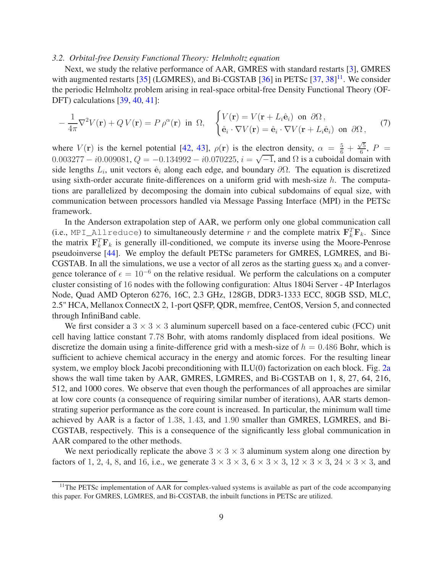#### *3.2. Orbital-free Density Functional Theory: Helmholtz equation*

Next, we study the relative performance of AAR, GMRES with standard restarts [3], GMRES with augmented restarts [35] (LGMRES), and Bi-CGSTAB [36] in PETSc [37, 38]<sup>11</sup>. We consider the periodic Helmholtz problem arising in real-space orbital-free Density Functional Theory (OF-DFT) calculations [39, 40, 41]:

$$
-\frac{1}{4\pi}\nabla^2 V(\mathbf{r}) + Q V(\mathbf{r}) = P \rho^{\alpha}(\mathbf{r}) \text{ in } \Omega, \quad \begin{cases} V(\mathbf{r}) = V(\mathbf{r} + L_i \hat{\mathbf{e}}_i) \text{ on } \partial\Omega, \\ \hat{\mathbf{e}}_i \cdot \nabla V(\mathbf{r}) = \hat{\mathbf{e}}_i \cdot \nabla V(\mathbf{r} + L_i \hat{\mathbf{e}}_i) \text{ on } \partial\Omega, \end{cases} (7)
$$

where  $V(\mathbf{r})$  is the kernel potential [42, 43],  $\rho(\mathbf{r})$  is the electron density,  $\alpha = \frac{5}{6} + \frac{\sqrt{5}}{6}$  $\frac{75}{6}$ ,  $P =$  $0.003277 - i0.009081, Q = -0.134992 - i0.070225, i = \sqrt{-1}$ , and  $\Omega$  is a cuboidal domain with side lengths  $L_i$ , unit vectors  $\hat{\mathbf{e}}_i$  along each edge, and boundary  $\partial\Omega$ . The equation is discretized using sixth-order accurate finite-differences on a uniform grid with mesh-size  $h$ . The computations are parallelized by decomposing the domain into cubical subdomains of equal size, with communication between processors handled via Message Passing Interface (MPI) in the PETSc framework.

In the Anderson extrapolation step of AAR, we perform only one global communication call (i.e., MPI\_Allreduce) to simultaneously determine r and the complete matrix  $\mathbf{F}_k^T \mathbf{F}_k$ . Since the matrix  $\mathbf{F}_k^T \mathbf{F}_k$  is generally ill-conditioned, we compute its inverse using the Moore-Penrose pseudoinverse [44]. We employ the default PETSc parameters for GMRES, LGMRES, and Bi-CGSTAB. In all the simulations, we use a vector of all zeros as the starting guess  $x_0$  and a convergence tolerance of  $\epsilon = 10^{-6}$  on the relative residual. We perform the calculations on a computer cluster consisting of 16 nodes with the following configuration: Altus 1804i Server - 4P Interlagos Node, Quad AMD Opteron 6276, 16C, 2.3 GHz, 128GB, DDR3-1333 ECC, 80GB SSD, MLC, 2.5" HCA, Mellanox ConnectX 2, 1-port QSFP, QDR, memfree, CentOS, Version 5, and connected through InfiniBand cable.

We first consider a  $3 \times 3 \times 3$  aluminum supercell based on a face-centered cubic (FCC) unit cell having lattice constant 7.78 Bohr, with atoms randomly displaced from ideal positions. We discretize the domain using a finite-difference grid with a mesh-size of  $h = 0.486$  Bohr, which is sufficient to achieve chemical accuracy in the energy and atomic forces. For the resulting linear system, we employ block Jacobi preconditioning with ILU(0) factorization on each block. Fig. 2a shows the wall time taken by AAR, GMRES, LGMRES, and Bi-CGSTAB on 1, 8, 27, 64, 216, 512, and 1000 cores. We observe that even though the performances of all approaches are similar at low core counts (a consequence of requiring similar number of iterations), AAR starts demonstrating superior performance as the core count is increased. In particular, the minimum wall time achieved by AAR is a factor of 1.38, 1.43, and 1.90 smaller than GMRES, LGMRES, and Bi-CGSTAB, respectively. This is a consequence of the significantly less global communication in AAR compared to the other methods.

We next periodically replicate the above  $3 \times 3 \times 3$  aluminum system along one direction by factors of 1, 2, 4, 8, and 16, i.e., we generate  $3 \times 3 \times 3$ ,  $6 \times 3 \times 3$ ,  $12 \times 3 \times 3$ ,  $24 \times 3 \times 3$ , and

<sup>&</sup>lt;sup>11</sup>The PETSc implementation of AAR for complex-valued systems is available as part of the code accompanying this paper. For GMRES, LGMRES, and Bi-CGSTAB, the inbuilt functions in PETSc are utilized.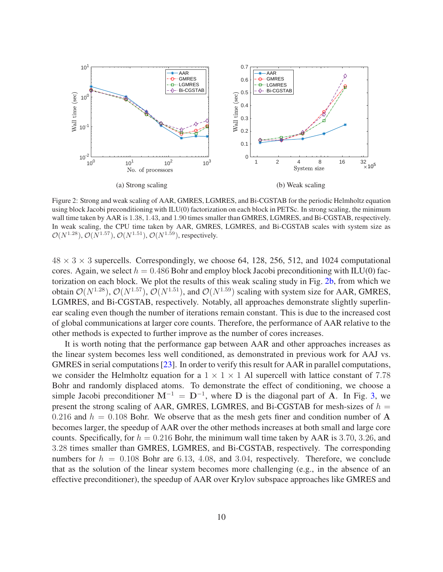

Figure 2: Strong and weak scaling of AAR, GMRES, LGMRES, and Bi-CGSTAB for the periodic Helmholtz equation using block Jacobi preconditioning with ILU(0) factorization on each block in PETSc. In strong scaling, the minimum wall time taken by AAR is 1.38, 1.43, and 1.90 times smaller than GMRES, LGMRES, and Bi-CGSTAB, respectively. In weak scaling, the CPU time taken by AAR, GMRES, LGMRES, and Bi-CGSTAB scales with system size as  $\mathcal{O}(N^{1.28})$ ,  $\mathcal{O}(N^{1.57})$ ,  $\mathcal{O}(N^{1.51})$ ,  $\mathcal{O}(N^{1.59})$ , respectively.

 $48 \times 3 \times 3$  supercells. Correspondingly, we choose 64, 128, 256, 512, and 1024 computational cores. Again, we select  $h = 0.486$  Bohr and employ block Jacobi preconditioning with ILU(0) factorization on each block. We plot the results of this weak scaling study in Fig. 2b, from which we obtain  $\mathcal{O}(N^{1.28})$ ,  $\mathcal{O}(N^{1.57})$ ,  $\mathcal{O}(N^{1.51})$ , and  $\mathcal{O}(N^{1.59})$  scaling with system size for AAR, GMRES, LGMRES, and Bi-CGSTAB, respectively. Notably, all approaches demonstrate slightly superlinear scaling even though the number of iterations remain constant. This is due to the increased cost of global communications at larger core counts. Therefore, the performance of AAR relative to the other methods is expected to further improve as the number of cores increases.

It is worth noting that the performance gap between AAR and other approaches increases as the linear system becomes less well conditioned, as demonstrated in previous work for AAJ vs. GMRES in serial computations [23]. In order to verify this result for AAR in parallel computations, we consider the Helmholtz equation for a  $1 \times 1 \times 1$  Al supercell with lattice constant of 7.78 Bohr and randomly displaced atoms. To demonstrate the effect of conditioning, we choose a simple Jacobi preconditioner  $M^{-1} = D^{-1}$ , where D is the diagonal part of A. In Fig. 3, we present the strong scaling of AAR, GMRES, LGMRES, and Bi-CGSTAB for mesh-sizes of  $h =$ 0.216 and  $h = 0.108$  Bohr. We observe that as the mesh gets finer and condition number of A becomes larger, the speedup of AAR over the other methods increases at both small and large core counts. Specifically, for  $h = 0.216$  Bohr, the minimum wall time taken by AAR is 3.70, 3.26, and 3.28 times smaller than GMRES, LGMRES, and Bi-CGSTAB, respectively. The corresponding numbers for  $h = 0.108$  Bohr are 6.13, 4.08, and 3.04, respectively. Therefore, we conclude that as the solution of the linear system becomes more challenging (e.g., in the absence of an effective preconditioner), the speedup of AAR over Krylov subspace approaches like GMRES and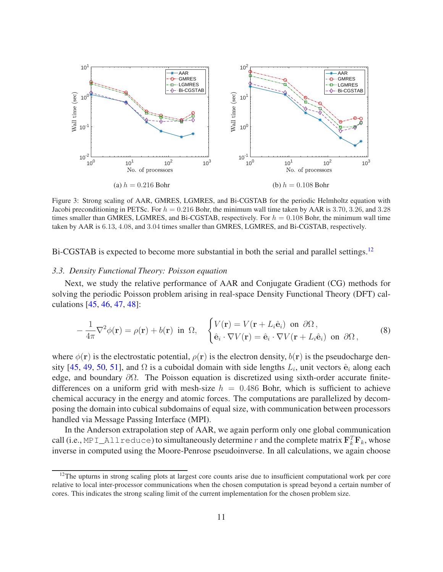

Figure 3: Strong scaling of AAR, GMRES, LGMRES, and Bi-CGSTAB for the periodic Helmholtz equation with Jacobi preconditioning in PETSc. For  $h = 0.216$  Bohr, the minimum wall time taken by AAR is 3.70, 3.26, and 3.28 times smaller than GMRES, LGMRES, and Bi-CGSTAB, respectively. For  $h = 0.108$  Bohr, the minimum wall time taken by AAR is 6.13, 4.08, and 3.04 times smaller than GMRES, LGMRES, and Bi-CGSTAB, respectively.

Bi-CGSTAB is expected to become more substantial in both the serial and parallel settings.<sup>12</sup>

## *3.3. Density Functional Theory: Poisson equation*

Next, we study the relative performance of AAR and Conjugate Gradient (CG) methods for solving the periodic Poisson problem arising in real-space Density Functional Theory (DFT) calculations [45, 46, 47, 48]:

$$
-\frac{1}{4\pi}\nabla^2\phi(\mathbf{r}) = \rho(\mathbf{r}) + b(\mathbf{r}) \text{ in } \Omega, \quad \begin{cases} V(\mathbf{r}) = V(\mathbf{r} + L_i\hat{\mathbf{e}}_i) \text{ on } \partial\Omega, \\ \hat{\mathbf{e}}_i \cdot \nabla V(\mathbf{r}) = \hat{\mathbf{e}}_i \cdot \nabla V(\mathbf{r} + L_i\hat{\mathbf{e}}_i) \text{ on } \partial\Omega, \end{cases}
$$
(8)

where  $\phi(\mathbf{r})$  is the electrostatic potential,  $\rho(\mathbf{r})$  is the electron density,  $b(\mathbf{r})$  is the pseudocharge density [45, 49, 50, 51], and  $\Omega$  is a cuboidal domain with side lengths  $L_i$ , unit vectors  $\hat{\mathbf{e}}_i$  along each edge, and boundary  $\partial\Omega$ . The Poisson equation is discretized using sixth-order accurate finitedifferences on a uniform grid with mesh-size  $h = 0.486$  Bohr, which is sufficient to achieve chemical accuracy in the energy and atomic forces. The computations are parallelized by decomposing the domain into cubical subdomains of equal size, with communication between processors handled via Message Passing Interface (MPI).

In the Anderson extrapolation step of AAR, we again perform only one global communication call (i.e., MPI\_Allreduce) to simultaneously determine r and the complete matrix  $\mathbf{F}_k^T \mathbf{F}_k$ , whose inverse in computed using the Moore-Penrose pseudoinverse. In all calculations, we again choose

<sup>&</sup>lt;sup>12</sup>The upturns in strong scaling plots at largest core counts arise due to insufficient computational work per core relative to local inter-processor communications when the chosen computation is spread beyond a certain number of cores. This indicates the strong scaling limit of the current implementation for the chosen problem size.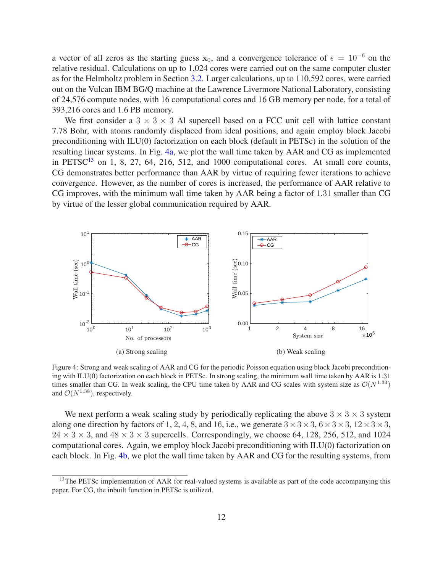a vector of all zeros as the starting guess  $x_0$ , and a convergence tolerance of  $\epsilon = 10^{-6}$  on the relative residual. Calculations on up to 1,024 cores were carried out on the same computer cluster as for the Helmholtz problem in Section 3.2. Larger calculations, up to 110,592 cores, were carried out on the Vulcan IBM BG/Q machine at the Lawrence Livermore National Laboratory, consisting of 24,576 compute nodes, with 16 computational cores and 16 GB memory per node, for a total of 393,216 cores and 1.6 PB memory.

We first consider a  $3 \times 3 \times 3$  Al supercell based on a FCC unit cell with lattice constant 7.78 Bohr, with atoms randomly displaced from ideal positions, and again employ block Jacobi preconditioning with ILU(0) factorization on each block (default in PETSc) in the solution of the resulting linear systems. In Fig. 4a, we plot the wall time taken by AAR and CG as implemented in PETSC<sup>13</sup> on 1, 8, 27, 64, 216, 512, and 1000 computational cores. At small core counts, CG demonstrates better performance than AAR by virtue of requiring fewer iterations to achieve convergence. However, as the number of cores is increased, the performance of AAR relative to CG improves, with the minimum wall time taken by AAR being a factor of 1.31 smaller than CG by virtue of the lesser global communication required by AAR.



Figure 4: Strong and weak scaling of AAR and CG for the periodic Poisson equation using block Jacobi preconditioning with ILU(0) factorization on each block in PETSc. In strong scaling, the minimum wall time taken by AAR is 1.31 times smaller than CG. In weak scaling, the CPU time taken by AAR and CG scales with system size as  $\mathcal{O}(N^{1.33})$ and  $\mathcal{O}(N^{1.38})$ , respectively.

We next perform a weak scaling study by periodically replicating the above  $3 \times 3 \times 3$  system along one direction by factors of 1, 2, 4, 8, and 16, i.e., we generate  $3 \times 3 \times 3$ ,  $6 \times 3 \times 3$ ,  $12 \times 3 \times 3$ ,  $24 \times 3 \times 3$ , and  $48 \times 3 \times 3$  supercells. Correspondingly, we choose 64, 128, 256, 512, and 1024 computational cores. Again, we employ block Jacobi preconditioning with ILU(0) factorization on each block. In Fig. 4b, we plot the wall time taken by AAR and CG for the resulting systems, from

<sup>&</sup>lt;sup>13</sup>The PETSc implementation of AAR for real-valued systems is available as part of the code accompanying this paper. For CG, the inbuilt function in PETSc is utilized.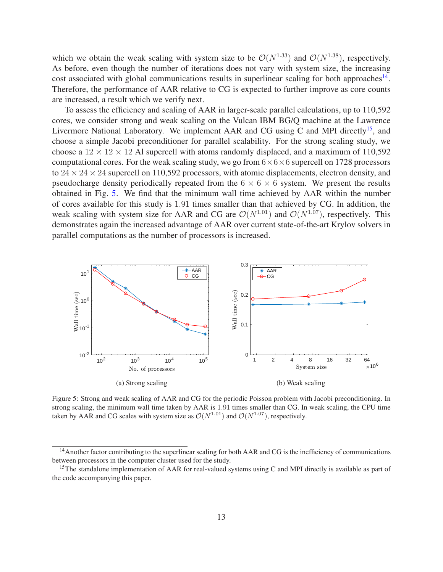which we obtain the weak scaling with system size to be  $\mathcal{O}(N^{1.33})$  and  $\mathcal{O}(N^{1.38})$ , respectively. As before, even though the number of iterations does not vary with system size, the increasing cost associated with global communications results in superlinear scaling for both approaches<sup>14</sup>. Therefore, the performance of AAR relative to CG is expected to further improve as core counts are increased, a result which we verify next.

To assess the efficiency and scaling of AAR in larger-scale parallel calculations, up to 110,592 cores, we consider strong and weak scaling on the Vulcan IBM BG/Q machine at the Lawrence Livermore National Laboratory. We implement AAR and CG using C and MPI directly<sup>15</sup>, and choose a simple Jacobi preconditioner for parallel scalability. For the strong scaling study, we choose a  $12 \times 12 \times 12$  Al supercell with atoms randomly displaced, and a maximum of 110,592 computational cores. For the weak scaling study, we go from  $6 \times 6 \times 6$  supercell on 1728 processors to  $24 \times 24 \times 24$  supercell on 110,592 processors, with atomic displacements, electron density, and pseudocharge density periodically repeated from the  $6 \times 6 \times 6$  system. We present the results obtained in Fig. 5. We find that the minimum wall time achieved by AAR within the number of cores available for this study is 1.91 times smaller than that achieved by CG. In addition, the weak scaling with system size for AAR and CG are  $\mathcal{O}(N^{1.01})$  and  $\mathcal{O}(N^{1.07})$ , respectively. This demonstrates again the increased advantage of AAR over current state-of-the-art Krylov solvers in parallel computations as the number of processors is increased.



Figure 5: Strong and weak scaling of AAR and CG for the periodic Poisson problem with Jacobi preconditioning. In strong scaling, the minimum wall time taken by AAR is 1.91 times smaller than CG. In weak scaling, the CPU time taken by AAR and CG scales with system size as  $\mathcal{O}(N^{1.01})$  and  $\mathcal{O}(N^{1.07})$ , respectively.

<sup>&</sup>lt;sup>14</sup> Another factor contributing to the superlinear scaling for both AAR and CG is the inefficiency of communications between processors in the computer cluster used for the study.

<sup>&</sup>lt;sup>15</sup>The standalone implementation of AAR for real-valued systems using C and MPI directly is available as part of the code accompanying this paper.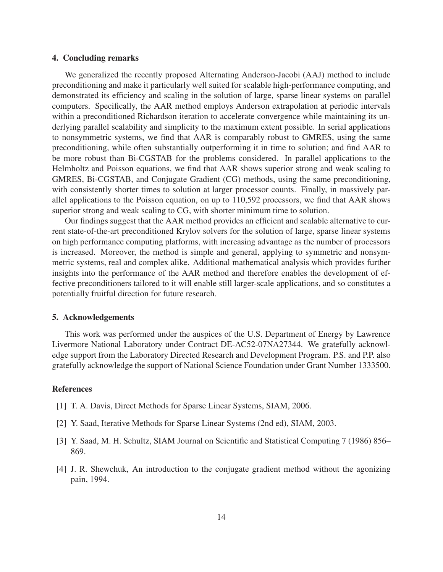## 4. Concluding remarks

We generalized the recently proposed Alternating Anderson-Jacobi (AAJ) method to include preconditioning and make it particularly well suited for scalable high-performance computing, and demonstrated its efficiency and scaling in the solution of large, sparse linear systems on parallel computers. Specifically, the AAR method employs Anderson extrapolation at periodic intervals within a preconditioned Richardson iteration to accelerate convergence while maintaining its underlying parallel scalability and simplicity to the maximum extent possible. In serial applications to nonsymmetric systems, we find that AAR is comparably robust to GMRES, using the same preconditioning, while often substantially outperforming it in time to solution; and find AAR to be more robust than Bi-CGSTAB for the problems considered. In parallel applications to the Helmholtz and Poisson equations, we find that AAR shows superior strong and weak scaling to GMRES, Bi-CGSTAB, and Conjugate Gradient (CG) methods, using the same preconditioning, with consistently shorter times to solution at larger processor counts. Finally, in massively parallel applications to the Poisson equation, on up to 110,592 processors, we find that AAR shows superior strong and weak scaling to CG, with shorter minimum time to solution.

Our findings suggest that the AAR method provides an efficient and scalable alternative to current state-of-the-art preconditioned Krylov solvers for the solution of large, sparse linear systems on high performance computing platforms, with increasing advantage as the number of processors is increased. Moreover, the method is simple and general, applying to symmetric and nonsymmetric systems, real and complex alike. Additional mathematical analysis which provides further insights into the performance of the AAR method and therefore enables the development of effective preconditioners tailored to it will enable still larger-scale applications, and so constitutes a potentially fruitful direction for future research.

## 5. Acknowledgements

This work was performed under the auspices of the U.S. Department of Energy by Lawrence Livermore National Laboratory under Contract DE-AC52-07NA27344. We gratefully acknowledge support from the Laboratory Directed Research and Development Program. P.S. and P.P. also gratefully acknowledge the support of National Science Foundation under Grant Number 1333500.

## References

- [1] T. A. Davis, Direct Methods for Sparse Linear Systems, SIAM, 2006.
- [2] Y. Saad, Iterative Methods for Sparse Linear Systems (2nd ed), SIAM, 2003.
- [3] Y. Saad, M. H. Schultz, SIAM Journal on Scientific and Statistical Computing 7 (1986) 856– 869.
- [4] J. R. Shewchuk, An introduction to the conjugate gradient method without the agonizing pain, 1994.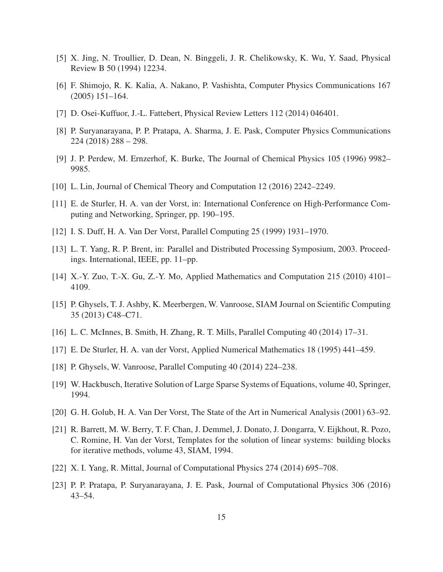- [5] X. Jing, N. Troullier, D. Dean, N. Binggeli, J. R. Chelikowsky, K. Wu, Y. Saad, Physical Review B 50 (1994) 12234.
- [6] F. Shimojo, R. K. Kalia, A. Nakano, P. Vashishta, Computer Physics Communications 167 (2005) 151–164.
- [7] D. Osei-Kuffuor, J.-L. Fattebert, Physical Review Letters 112 (2014) 046401.
- [8] P. Suryanarayana, P. P. Pratapa, A. Sharma, J. E. Pask, Computer Physics Communications 224 (2018) 288 – 298.
- [9] J. P. Perdew, M. Ernzerhof, K. Burke, The Journal of Chemical Physics 105 (1996) 9982– 9985.
- [10] L. Lin, Journal of Chemical Theory and Computation 12 (2016) 2242–2249.
- [11] E. de Sturler, H. A. van der Vorst, in: International Conference on High-Performance Computing and Networking, Springer, pp. 190–195.
- [12] I. S. Duff, H. A. Van Der Vorst, Parallel Computing 25 (1999) 1931–1970.
- [13] L. T. Yang, R. P. Brent, in: Parallel and Distributed Processing Symposium, 2003. Proceedings. International, IEEE, pp. 11–pp.
- [14] X.-Y. Zuo, T.-X. Gu, Z.-Y. Mo, Applied Mathematics and Computation 215 (2010) 4101– 4109.
- [15] P. Ghysels, T. J. Ashby, K. Meerbergen, W. Vanroose, SIAM Journal on Scientific Computing 35 (2013) C48–C71.
- [16] L. C. McInnes, B. Smith, H. Zhang, R. T. Mills, Parallel Computing 40 (2014) 17–31.
- [17] E. De Sturler, H. A. van der Vorst, Applied Numerical Mathematics 18 (1995) 441–459.
- [18] P. Ghysels, W. Vanroose, Parallel Computing 40 (2014) 224–238.
- [19] W. Hackbusch, Iterative Solution of Large Sparse Systems of Equations, volume 40, Springer, 1994.
- [20] G. H. Golub, H. A. Van Der Vorst, The State of the Art in Numerical Analysis (2001) 63–92.
- [21] R. Barrett, M. W. Berry, T. F. Chan, J. Demmel, J. Donato, J. Dongarra, V. Eijkhout, R. Pozo, C. Romine, H. Van der Vorst, Templates for the solution of linear systems: building blocks for iterative methods, volume 43, SIAM, 1994.
- [22] X. I. Yang, R. Mittal, Journal of Computational Physics 274 (2014) 695–708.
- [23] P. P. Pratapa, P. Suryanarayana, J. E. Pask, Journal of Computational Physics 306 (2016) 43–54.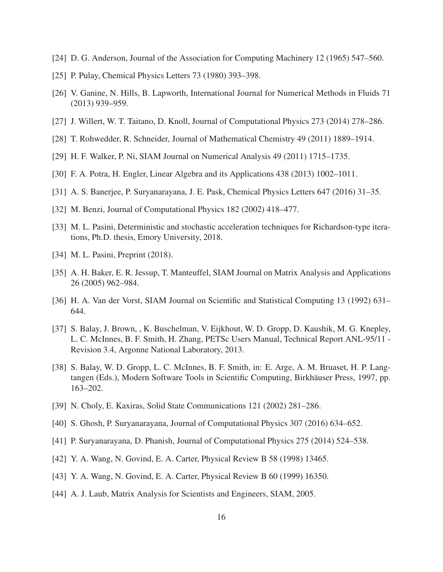- [24] D. G. Anderson, Journal of the Association for Computing Machinery 12 (1965) 547–560.
- [25] P. Pulay, Chemical Physics Letters 73 (1980) 393–398.
- [26] V. Ganine, N. Hills, B. Lapworth, International Journal for Numerical Methods in Fluids 71 (2013) 939–959.
- [27] J. Willert, W. T. Taitano, D. Knoll, Journal of Computational Physics 273 (2014) 278–286.
- [28] T. Rohwedder, R. Schneider, Journal of Mathematical Chemistry 49 (2011) 1889–1914.
- [29] H. F. Walker, P. Ni, SIAM Journal on Numerical Analysis 49 (2011) 1715–1735.
- [30] F. A. Potra, H. Engler, Linear Algebra and its Applications 438 (2013) 1002–1011.
- [31] A. S. Banerjee, P. Suryanarayana, J. E. Pask, Chemical Physics Letters 647 (2016) 31–35.
- [32] M. Benzi, Journal of Computational Physics 182 (2002) 418–477.
- [33] M. L. Pasini, Deterministic and stochastic acceleration techniques for Richardson-type iterations, Ph.D. thesis, Emory University, 2018.
- [34] M. L. Pasini, Preprint (2018).
- [35] A. H. Baker, E. R. Jessup, T. Manteuffel, SIAM Journal on Matrix Analysis and Applications 26 (2005) 962–984.
- [36] H. A. Van der Vorst, SIAM Journal on Scientific and Statistical Computing 13 (1992) 631– 644.
- [37] S. Balay, J. Brown, , K. Buschelman, V. Eijkhout, W. D. Gropp, D. Kaushik, M. G. Knepley, L. C. McInnes, B. F. Smith, H. Zhang, PETSc Users Manual, Technical Report ANL-95/11 - Revision 3.4, Argonne National Laboratory, 2013.
- [38] S. Balay, W. D. Gropp, L. C. McInnes, B. F. Smith, in: E. Arge, A. M. Bruaset, H. P. Langtangen (Eds.), Modern Software Tools in Scientific Computing, Birkhäuser Press, 1997, pp. 163–202.
- [39] N. Choly, E. Kaxiras, Solid State Communications 121 (2002) 281–286.
- [40] S. Ghosh, P. Suryanarayana, Journal of Computational Physics 307 (2016) 634–652.
- [41] P. Suryanarayana, D. Phanish, Journal of Computational Physics 275 (2014) 524–538.
- [42] Y. A. Wang, N. Govind, E. A. Carter, Physical Review B 58 (1998) 13465.
- [43] Y. A. Wang, N. Govind, E. A. Carter, Physical Review B 60 (1999) 16350.
- [44] A. J. Laub, Matrix Analysis for Scientists and Engineers, SIAM, 2005.